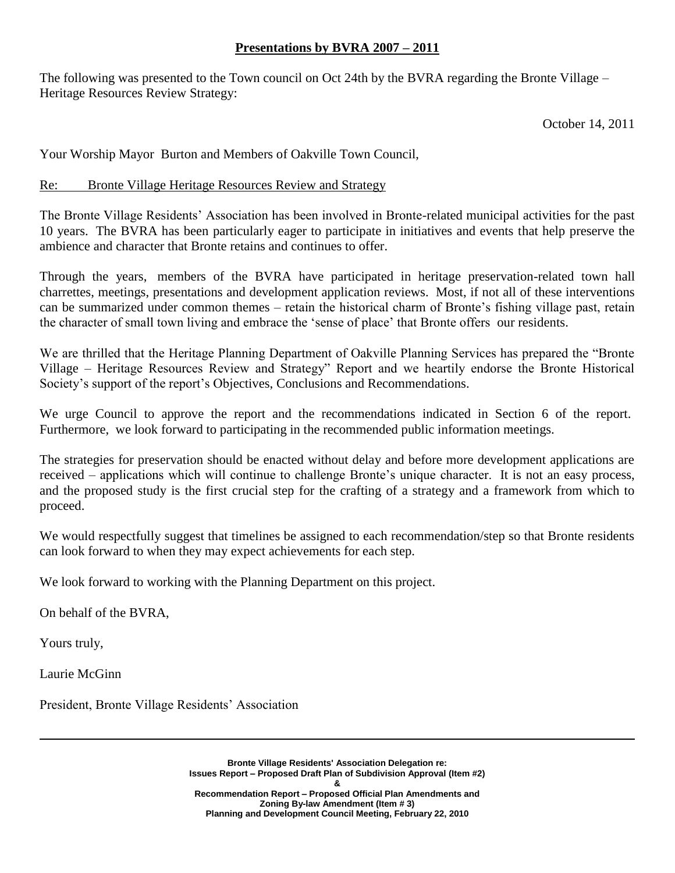#### **Presentations by BVRA 2007 – 2011**

The following was presented to the Town council on Oct 24th by the BVRA regarding the Bronte Village – Heritage Resources Review Strategy:

October 14, 2011

Your Worship Mayor Burton and Members of Oakville Town Council,

# Re: Bronte Village Heritage Resources Review and Strategy

The Bronte Village Residents' Association has been involved in Bronte-related municipal activities for the past 10 years. The BVRA has been particularly eager to participate in initiatives and events that help preserve the ambience and character that Bronte retains and continues to offer.

Through the years, members of the BVRA have participated in heritage preservation-related town hall charrettes, meetings, presentations and development application reviews. Most, if not all of these interventions can be summarized under common themes – retain the historical charm of Bronte's fishing village past, retain the character of small town living and embrace the 'sense of place' that Bronte offers our residents.

We are thrilled that the Heritage Planning Department of Oakville Planning Services has prepared the "Bronte Village – Heritage Resources Review and Strategy" Report and we heartily endorse the Bronte Historical Society's support of the report's Objectives, Conclusions and Recommendations.

We urge Council to approve the report and the recommendations indicated in Section 6 of the report. Furthermore, we look forward to participating in the recommended public information meetings.

The strategies for preservation should be enacted without delay and before more development applications are received – applications which will continue to challenge Bronte's unique character. It is not an easy process, and the proposed study is the first crucial step for the crafting of a strategy and a framework from which to proceed.

We would respectfully suggest that timelines be assigned to each recommendation/step so that Bronte residents can look forward to when they may expect achievements for each step.

We look forward to working with the Planning Department on this project.

On behalf of the BVRA,

Yours truly,

Laurie McGinn

President, Bronte Village Residents' Association

**Bronte Village Residents' Association Delegation re: Issues Report – Proposed Draft Plan of Subdivision Approval (Item #2) & Recommendation Report – Proposed Official Plan Amendments and Zoning By-law Amendment (Item # 3) Planning and Development Council Meeting, February 22, 2010**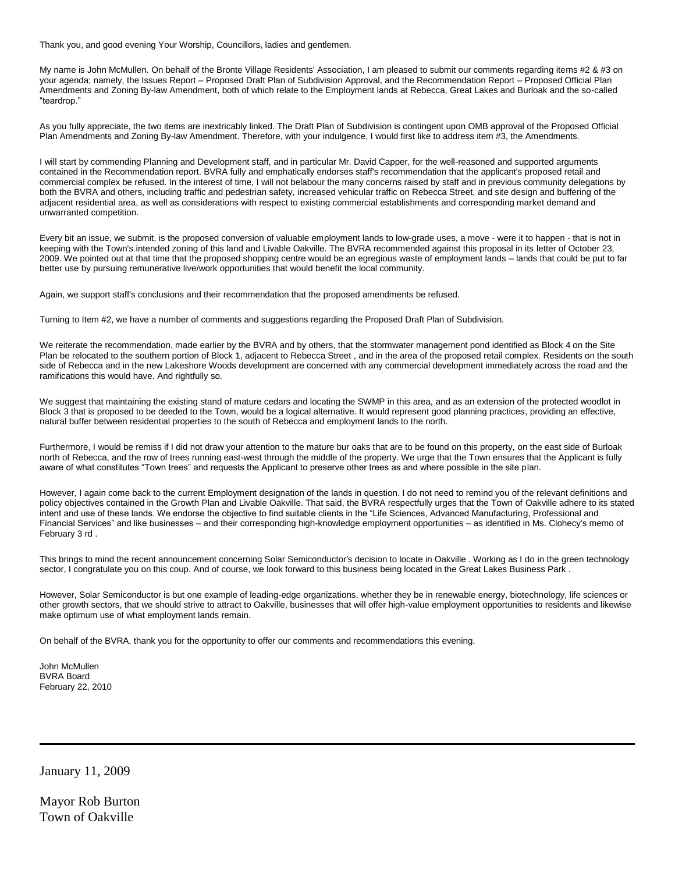Thank you, and good evening Your Worship, Councillors, ladies and gentlemen.

My name is John McMullen. On behalf of the Bronte Village Residents' Association, I am pleased to submit our comments regarding items #2 & #3 on your agenda; namely, the Issues Report – Proposed Draft Plan of Subdivision Approval, and the Recommendation Report – Proposed Official Plan Amendments and Zoning By-law Amendment, both of which relate to the Employment lands at Rebecca, Great Lakes and Burloak and the so-called "teardrop."

As you fully appreciate, the two items are inextricably linked. The Draft Plan of Subdivision is contingent upon OMB approval of the Proposed Official Plan Amendments and Zoning By-law Amendment. Therefore, with your indulgence, I would first like to address item #3, the Amendments.

I will start by commending Planning and Development staff, and in particular Mr. David Capper, for the well-reasoned and supported arguments contained in the Recommendation report. BVRA fully and emphatically endorses staff's recommendation that the applicant's proposed retail and commercial complex be refused. In the interest of time, I will not belabour the many concerns raised by staff and in previous community delegations by both the BVRA and others, including traffic and pedestrian safety, increased vehicular traffic on Rebecca Street, and site design and buffering of the adjacent residential area, as well as considerations with respect to existing commercial establishments and corresponding market demand and unwarranted competition.

Every bit an issue, we submit, is the proposed conversion of valuable employment lands to low-grade uses, a move - were it to happen - that is not in keeping with the Town's intended zoning of this land and Livable Oakville. The BVRA recommended against this proposal in its letter of October 23, 2009. We pointed out at that time that the proposed shopping centre would be an egregious waste of employment lands – lands that could be put to far better use by pursuing remunerative live/work opportunities that would benefit the local community.

Again, we support staff's conclusions and their recommendation that the proposed amendments be refused.

Turning to Item #2, we have a number of comments and suggestions regarding the Proposed Draft Plan of Subdivision.

We reiterate the recommendation, made earlier by the BVRA and by others, that the stormwater management pond identified as Block 4 on the Site Plan be relocated to the southern portion of Block 1, adjacent to Rebecca Street , and in the area of the proposed retail complex. Residents on the south side of Rebecca and in the new Lakeshore Woods development are concerned with any commercial development immediately across the road and the ramifications this would have. And rightfully so.

We suggest that maintaining the existing stand of mature cedars and locating the SWMP in this area, and as an extension of the protected woodlot in Block 3 that is proposed to be deeded to the Town, would be a logical alternative. It would represent good planning practices, providing an effective, natural buffer between residential properties to the south of Rebecca and employment lands to the north.

Furthermore, I would be remiss if I did not draw your attention to the mature bur oaks that are to be found on this property, on the east side of Burloak north of Rebecca, and the row of trees running east-west through the middle of the property. We urge that the Town ensures that the Applicant is fully aware of what constitutes "Town trees" and requests the Applicant to preserve other trees as and where possible in the site plan.

However, I again come back to the current Employment designation of the lands in question. I do not need to remind you of the relevant definitions and policy objectives contained in the Growth Plan and Livable Oakville. That said, the BVRA respectfully urges that the Town of Oakville adhere to its stated intent and use of these lands. We endorse the objective to find suitable clients in the "Life Sciences, Advanced Manufacturing, Professional and Financial Services" and like businesses – and their corresponding high-knowledge employment opportunities – as identified in Ms. Clohecy's memo of February 3 rd .

This brings to mind the recent announcement concerning Solar Semiconductor's decision to locate in Oakville . Working as I do in the green technology sector, I congratulate you on this coup. And of course, we look forward to this business being located in the Great Lakes Business Park.

However, Solar Semiconductor is but one example of leading-edge organizations, whether they be in renewable energy, biotechnology, life sciences or other growth sectors, that we should strive to attract to Oakville, businesses that will offer high-value employment opportunities to residents and likewise make optimum use of what employment lands remain.

On behalf of the BVRA, thank you for the opportunity to offer our comments and recommendations this evening.

John McMullen BVRA Board February 22, 2010

January 11, 2009

Mayor Rob Burton Town of Oakville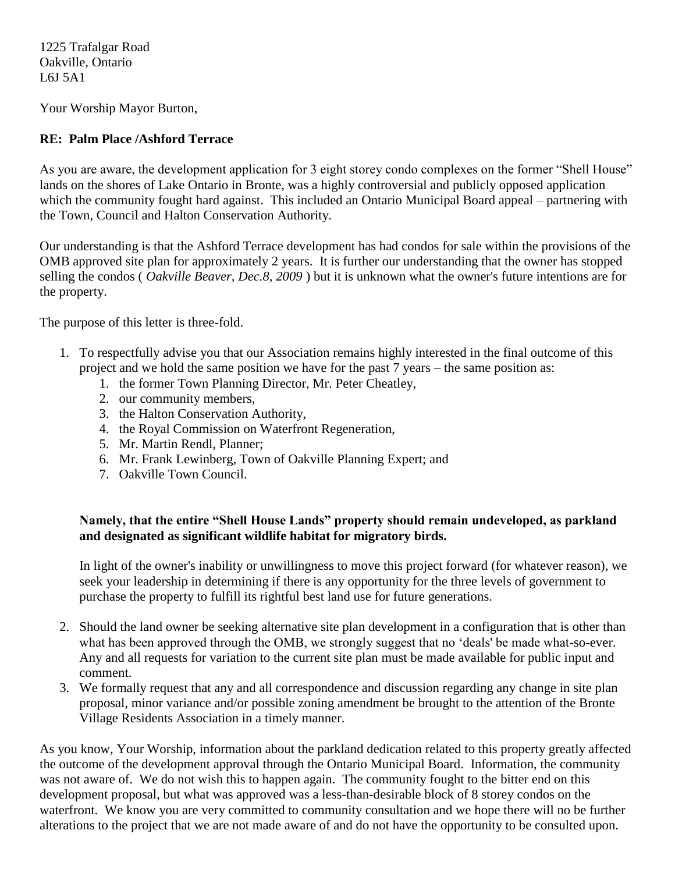1225 Trafalgar Road Oakville, Ontario L6J 5A1

Your Worship Mayor Burton,

# **RE: Palm Place /Ashford Terrace**

As you are aware, the development application for 3 eight storey condo complexes on the former "Shell House" lands on the shores of Lake Ontario in Bronte, was a highly controversial and publicly opposed application which the community fought hard against. This included an Ontario Municipal Board appeal – partnering with the Town, Council and Halton Conservation Authority.

Our understanding is that the Ashford Terrace development has had condos for sale within the provisions of the OMB approved site plan for approximately 2 years. It is further our understanding that the owner has stopped selling the condos ( *Oakville Beaver, Dec.8, 2009* ) but it is unknown what the owner's future intentions are for the property.

The purpose of this letter is three-fold.

- 1. To respectfully advise you that our Association remains highly interested in the final outcome of this project and we hold the same position we have for the past 7 years – the same position as:
	- 1. the former Town Planning Director, Mr. Peter Cheatley,
	- 2. our community members,
	- 3. the Halton Conservation Authority,
	- 4. the Royal Commission on Waterfront Regeneration,
	- 5. Mr. Martin Rendl, Planner;
	- 6. Mr. Frank Lewinberg, Town of Oakville Planning Expert; and
	- 7. Oakville Town Council.

## **Namely, that the entire "Shell House Lands" property should remain undeveloped, as parkland and designated as significant wildlife habitat for migratory birds.**

In light of the owner's inability or unwillingness to move this project forward (for whatever reason), we seek your leadership in determining if there is any opportunity for the three levels of government to purchase the property to fulfill its rightful best land use for future generations.

- 2. Should the land owner be seeking alternative site plan development in a configuration that is other than what has been approved through the OMB, we strongly suggest that no 'deals' be made what-so-ever. Any and all requests for variation to the current site plan must be made available for public input and comment.
- 3. We formally request that any and all correspondence and discussion regarding any change in site plan proposal, minor variance and/or possible zoning amendment be brought to the attention of the Bronte Village Residents Association in a timely manner.

As you know, Your Worship, information about the parkland dedication related to this property greatly affected the outcome of the development approval through the Ontario Municipal Board. Information, the community was not aware of. We do not wish this to happen again. The community fought to the bitter end on this development proposal, but what was approved was a less-than-desirable block of 8 storey condos on the waterfront. We know you are very committed to community consultation and we hope there will no be further alterations to the project that we are not made aware of and do not have the opportunity to be consulted upon.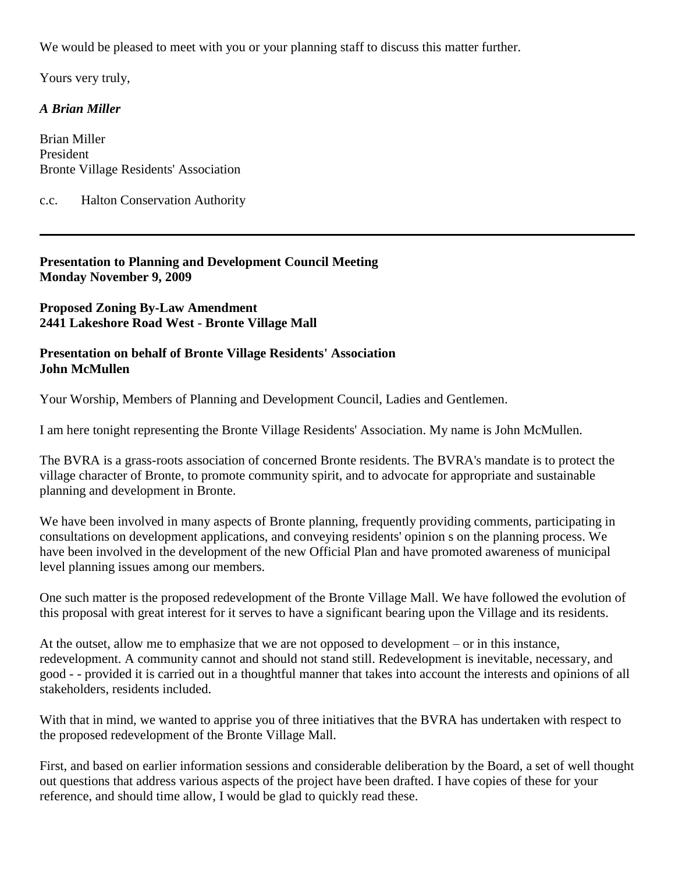We would be pleased to meet with you or your planning staff to discuss this matter further.

Yours very truly,

# *A Brian Miller*

Brian Miller President Bronte Village Residents' Association

c.c. Halton Conservation Authority

#### **Presentation to Planning and Development Council Meeting Monday November 9, 2009**

**Proposed Zoning By-Law Amendment 2441 Lakeshore Road West - Bronte Village Mall** 

#### **Presentation on behalf of Bronte Village Residents' Association John McMullen**

Your Worship, Members of Planning and Development Council, Ladies and Gentlemen.

I am here tonight representing the Bronte Village Residents' Association. My name is John McMullen.

The BVRA is a grass-roots association of concerned Bronte residents. The BVRA's mandate is to protect the village character of Bronte, to promote community spirit, and to advocate for appropriate and sustainable planning and development in Bronte.

We have been involved in many aspects of Bronte planning, frequently providing comments, participating in consultations on development applications, and conveying residents' opinion s on the planning process. We have been involved in the development of the new Official Plan and have promoted awareness of municipal level planning issues among our members.

One such matter is the proposed redevelopment of the Bronte Village Mall. We have followed the evolution of this proposal with great interest for it serves to have a significant bearing upon the Village and its residents.

At the outset, allow me to emphasize that we are not opposed to development – or in this instance, redevelopment. A community cannot and should not stand still. Redevelopment is inevitable, necessary, and good - - provided it is carried out in a thoughtful manner that takes into account the interests and opinions of all stakeholders, residents included.

With that in mind, we wanted to apprise you of three initiatives that the BVRA has undertaken with respect to the proposed redevelopment of the Bronte Village Mall.

First, and based on earlier information sessions and considerable deliberation by the Board, a set of well thought out questions that address various aspects of the project have been drafted. I have copies of these for your reference, and should time allow, I would be glad to quickly read these.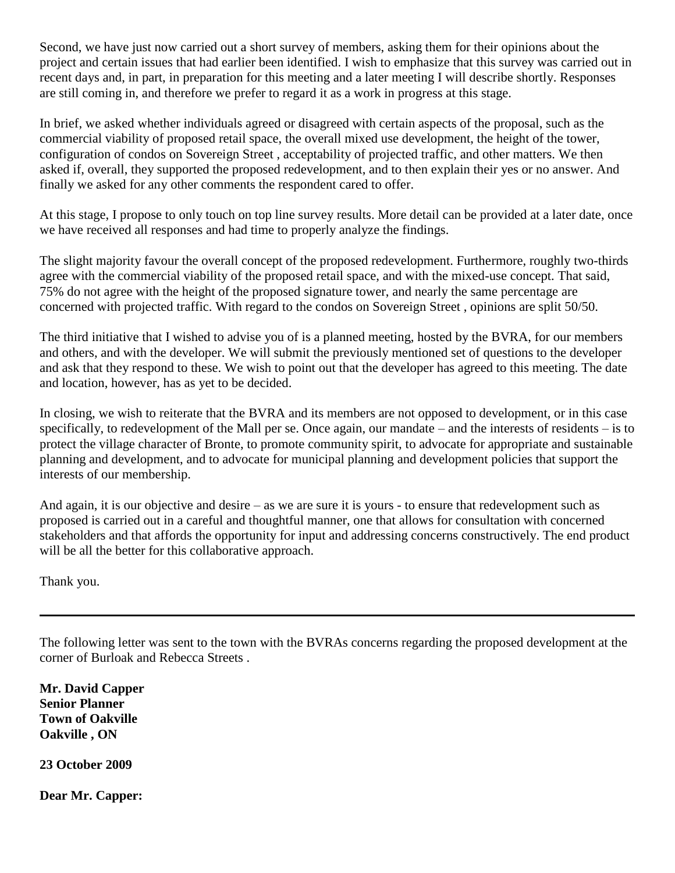Second, we have just now carried out a short survey of members, asking them for their opinions about the project and certain issues that had earlier been identified. I wish to emphasize that this survey was carried out in recent days and, in part, in preparation for this meeting and a later meeting I will describe shortly. Responses are still coming in, and therefore we prefer to regard it as a work in progress at this stage.

In brief, we asked whether individuals agreed or disagreed with certain aspects of the proposal, such as the commercial viability of proposed retail space, the overall mixed use development, the height of the tower, configuration of condos on Sovereign Street , acceptability of projected traffic, and other matters. We then asked if, overall, they supported the proposed redevelopment, and to then explain their yes or no answer. And finally we asked for any other comments the respondent cared to offer.

At this stage, I propose to only touch on top line survey results. More detail can be provided at a later date, once we have received all responses and had time to properly analyze the findings.

The slight majority favour the overall concept of the proposed redevelopment. Furthermore, roughly two-thirds agree with the commercial viability of the proposed retail space, and with the mixed-use concept. That said, 75% do not agree with the height of the proposed signature tower, and nearly the same percentage are concerned with projected traffic. With regard to the condos on Sovereign Street , opinions are split 50/50.

The third initiative that I wished to advise you of is a planned meeting, hosted by the BVRA, for our members and others, and with the developer. We will submit the previously mentioned set of questions to the developer and ask that they respond to these. We wish to point out that the developer has agreed to this meeting. The date and location, however, has as yet to be decided.

In closing, we wish to reiterate that the BVRA and its members are not opposed to development, or in this case specifically, to redevelopment of the Mall per se. Once again, our mandate – and the interests of residents – is to protect the village character of Bronte, to promote community spirit, to advocate for appropriate and sustainable planning and development, and to advocate for municipal planning and development policies that support the interests of our membership.

And again, it is our objective and desire – as we are sure it is yours - to ensure that redevelopment such as proposed is carried out in a careful and thoughtful manner, one that allows for consultation with concerned stakeholders and that affords the opportunity for input and addressing concerns constructively. The end product will be all the better for this collaborative approach.

Thank you.

The following letter was sent to the town with the BVRAs concerns regarding the proposed development at the corner of Burloak and Rebecca Streets .

**Mr. David Capper Senior Planner Town of Oakville Oakville , ON**

**23 October 2009**

**Dear Mr. Capper:**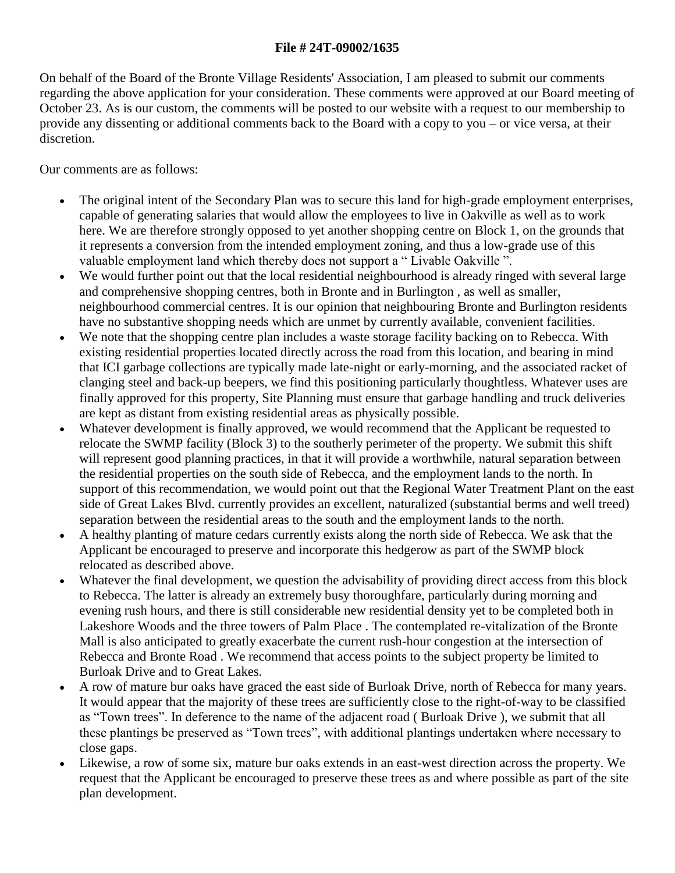## **File # 24T-09002/1635**

On behalf of the Board of the Bronte Village Residents' Association, I am pleased to submit our comments regarding the above application for your consideration. These comments were approved at our Board meeting of October 23. As is our custom, the comments will be posted to our website with a request to our membership to provide any dissenting or additional comments back to the Board with a copy to you – or vice versa, at their discretion.

Our comments are as follows:

- The original intent of the Secondary Plan was to secure this land for high-grade employment enterprises, capable of generating salaries that would allow the employees to live in Oakville as well as to work here. We are therefore strongly opposed to yet another shopping centre on Block 1, on the grounds that it represents a conversion from the intended employment zoning, and thus a low-grade use of this valuable employment land which thereby does not support a " Livable Oakville ".
- We would further point out that the local residential neighbourhood is already ringed with several large and comprehensive shopping centres, both in Bronte and in Burlington , as well as smaller, neighbourhood commercial centres. It is our opinion that neighbouring Bronte and Burlington residents have no substantive shopping needs which are unmet by currently available, convenient facilities.
- We note that the shopping centre plan includes a waste storage facility backing on to Rebecca. With existing residential properties located directly across the road from this location, and bearing in mind that ICI garbage collections are typically made late-night or early-morning, and the associated racket of clanging steel and back-up beepers, we find this positioning particularly thoughtless. Whatever uses are finally approved for this property, Site Planning must ensure that garbage handling and truck deliveries are kept as distant from existing residential areas as physically possible.
- Whatever development is finally approved, we would recommend that the Applicant be requested to relocate the SWMP facility (Block 3) to the southerly perimeter of the property. We submit this shift will represent good planning practices, in that it will provide a worthwhile, natural separation between the residential properties on the south side of Rebecca, and the employment lands to the north. In support of this recommendation, we would point out that the Regional Water Treatment Plant on the east side of Great Lakes Blvd. currently provides an excellent, naturalized (substantial berms and well treed) separation between the residential areas to the south and the employment lands to the north.
- A healthy planting of mature cedars currently exists along the north side of Rebecca. We ask that the Applicant be encouraged to preserve and incorporate this hedgerow as part of the SWMP block relocated as described above.
- Whatever the final development, we question the advisability of providing direct access from this block to Rebecca. The latter is already an extremely busy thoroughfare, particularly during morning and evening rush hours, and there is still considerable new residential density yet to be completed both in Lakeshore Woods and the three towers of Palm Place . The contemplated re-vitalization of the Bronte Mall is also anticipated to greatly exacerbate the current rush-hour congestion at the intersection of Rebecca and Bronte Road . We recommend that access points to the subject property be limited to Burloak Drive and to Great Lakes.
- A row of mature bur oaks have graced the east side of Burloak Drive, north of Rebecca for many years. It would appear that the majority of these trees are sufficiently close to the right-of-way to be classified as "Town trees". In deference to the name of the adjacent road ( Burloak Drive ), we submit that all these plantings be preserved as "Town trees", with additional plantings undertaken where necessary to close gaps.
- Likewise, a row of some six, mature bur oaks extends in an east-west direction across the property. We request that the Applicant be encouraged to preserve these trees as and where possible as part of the site plan development.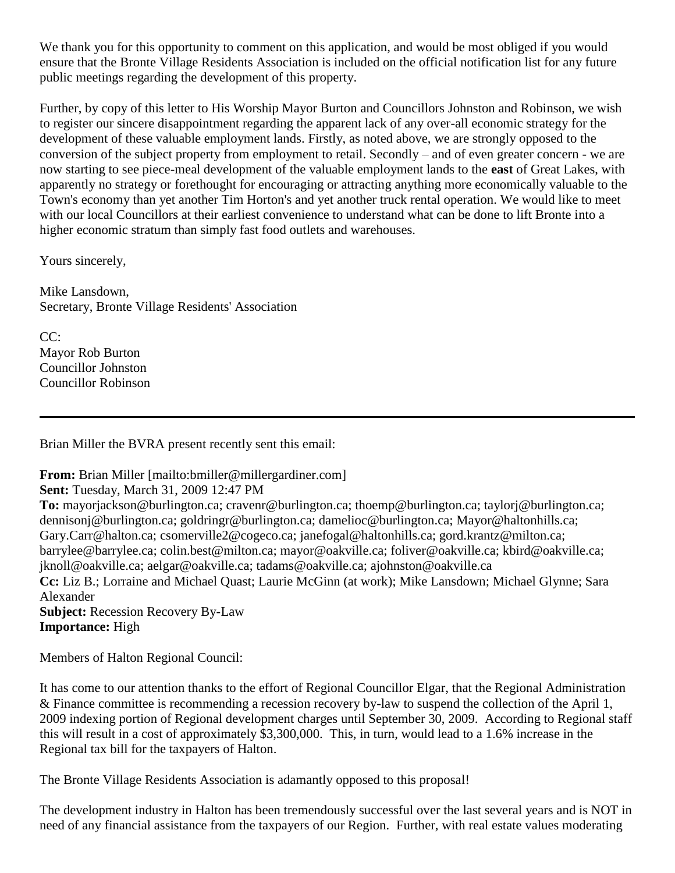We thank you for this opportunity to comment on this application, and would be most obliged if you would ensure that the Bronte Village Residents Association is included on the official notification list for any future public meetings regarding the development of this property.

Further, by copy of this letter to His Worship Mayor Burton and Councillors Johnston and Robinson, we wish to register our sincere disappointment regarding the apparent lack of any over-all economic strategy for the development of these valuable employment lands. Firstly, as noted above, we are strongly opposed to the conversion of the subject property from employment to retail. Secondly – and of even greater concern - we are now starting to see piece-meal development of the valuable employment lands to the **east** of Great Lakes, with apparently no strategy or forethought for encouraging or attracting anything more economically valuable to the Town's economy than yet another Tim Horton's and yet another truck rental operation. We would like to meet with our local Councillors at their earliest convenience to understand what can be done to lift Bronte into a higher economic stratum than simply fast food outlets and warehouses.

Yours sincerely,

Mike Lansdown, Secretary, Bronte Village Residents' Association

CC: Mayor Rob Burton Councillor Johnston Councillor Robinson

Brian Miller the BVRA present recently sent this email:

**From:** Brian Miller [mailto:bmiller@millergardiner.com]

**Sent:** Tuesday, March 31, 2009 12:47 PM

**To:** mayorjackson@burlington.ca; cravenr@burlington.ca; thoemp@burlington.ca; taylorj@burlington.ca; dennisonj@burlington.ca; goldringr@burlington.ca; damelioc@burlington.ca; Mayor@haltonhills.ca; Gary.Carr@halton.ca; csomerville2@cogeco.ca; janefogal@haltonhills.ca; gord.krantz@milton.ca; barrylee@barrylee.ca; colin.best@milton.ca; mayor@oakville.ca; foliver@oakville.ca; kbird@oakville.ca; jknoll@oakville.ca; aelgar@oakville.ca; tadams@oakville.ca; ajohnston@oakville.ca **Cc:** Liz B.; Lorraine and Michael Quast; Laurie McGinn (at work); Mike Lansdown; Michael Glynne; Sara Alexander **Subject:** Recession Recovery By-Law **Importance:** High

Members of Halton Regional Council:

It has come to our attention thanks to the effort of Regional Councillor Elgar, that the Regional Administration & Finance committee is recommending a recession recovery by-law to suspend the collection of the April 1, 2009 indexing portion of Regional development charges until September 30, 2009. According to Regional staff this will result in a cost of approximately \$3,300,000. This, in turn, would lead to a 1.6% increase in the Regional tax bill for the taxpayers of Halton.

The Bronte Village Residents Association is adamantly opposed to this proposal!

The development industry in Halton has been tremendously successful over the last several years and is NOT in need of any financial assistance from the taxpayers of our Region. Further, with real estate values moderating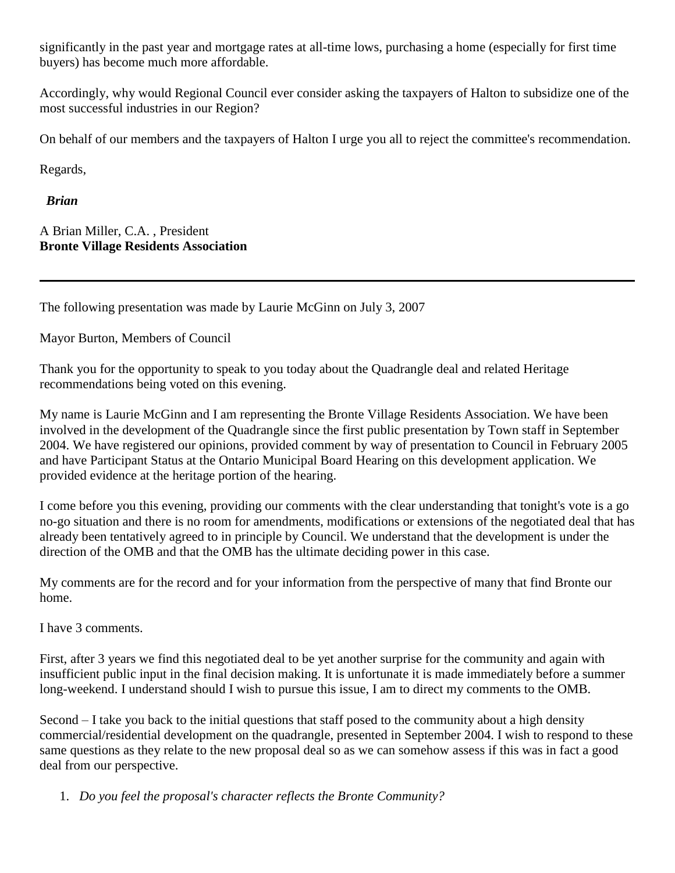significantly in the past year and mortgage rates at all-time lows, purchasing a home (especially for first time buyers) has become much more affordable.

Accordingly, why would Regional Council ever consider asking the taxpayers of Halton to subsidize one of the most successful industries in our Region?

On behalf of our members and the taxpayers of Halton I urge you all to reject the committee's recommendation.

Regards,

*Brian* 

A Brian Miller, C.A. , President **Bronte Village Residents Association**

The following presentation was made by Laurie McGinn on July 3, 2007

Mayor Burton, Members of Council

Thank you for the opportunity to speak to you today about the Quadrangle deal and related Heritage recommendations being voted on this evening.

My name is Laurie McGinn and I am representing the Bronte Village Residents Association. We have been involved in the development of the Quadrangle since the first public presentation by Town staff in September 2004. We have registered our opinions, provided comment by way of presentation to Council in February 2005 and have Participant Status at the Ontario Municipal Board Hearing on this development application. We provided evidence at the heritage portion of the hearing.

I come before you this evening, providing our comments with the clear understanding that tonight's vote is a go no-go situation and there is no room for amendments, modifications or extensions of the negotiated deal that has already been tentatively agreed to in principle by Council. We understand that the development is under the direction of the OMB and that the OMB has the ultimate deciding power in this case.

My comments are for the record and for your information from the perspective of many that find Bronte our home.

I have 3 comments.

First, after 3 years we find this negotiated deal to be yet another surprise for the community and again with insufficient public input in the final decision making. It is unfortunate it is made immediately before a summer long-weekend. I understand should I wish to pursue this issue, I am to direct my comments to the OMB.

Second – I take you back to the initial questions that staff posed to the community about a high density commercial/residential development on the quadrangle, presented in September 2004. I wish to respond to these same questions as they relate to the new proposal deal so as we can somehow assess if this was in fact a good deal from our perspective.

1. *Do you feel the proposal's character reflects the Bronte Community?*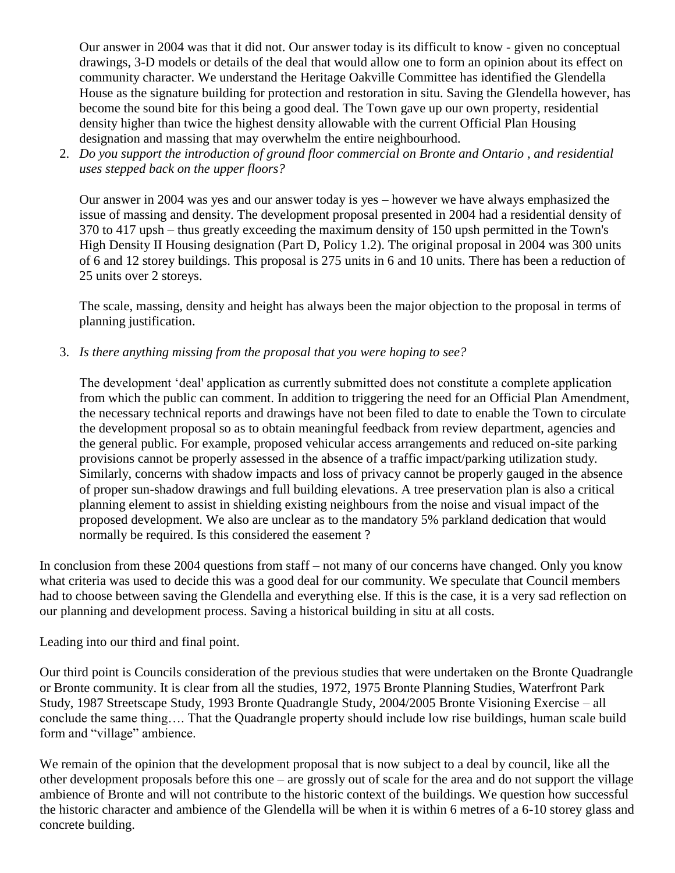Our answer in 2004 was that it did not. Our answer today is its difficult to know - given no conceptual drawings, 3-D models or details of the deal that would allow one to form an opinion about its effect on community character. We understand the Heritage Oakville Committee has identified the Glendella House as the signature building for protection and restoration in situ. Saving the Glendella however, has become the sound bite for this being a good deal. The Town gave up our own property, residential density higher than twice the highest density allowable with the current Official Plan Housing designation and massing that may overwhelm the entire neighbourhood.

2. *Do you support the introduction of ground floor commercial on Bronte and Ontario , and residential uses stepped back on the upper floors?*

Our answer in 2004 was yes and our answer today is yes – however we have always emphasized the issue of massing and density. The development proposal presented in 2004 had a residential density of 370 to 417 upsh – thus greatly exceeding the maximum density of 150 upsh permitted in the Town's High Density II Housing designation (Part D, Policy 1.2). The original proposal in 2004 was 300 units of 6 and 12 storey buildings. This proposal is 275 units in 6 and 10 units. There has been a reduction of 25 units over 2 storeys.

The scale, massing, density and height has always been the major objection to the proposal in terms of planning justification.

3. *Is there anything missing from the proposal that you were hoping to see?* 

The development 'deal' application as currently submitted does not constitute a complete application from which the public can comment. In addition to triggering the need for an Official Plan Amendment, the necessary technical reports and drawings have not been filed to date to enable the Town to circulate the development proposal so as to obtain meaningful feedback from review department, agencies and the general public. For example, proposed vehicular access arrangements and reduced on-site parking provisions cannot be properly assessed in the absence of a traffic impact/parking utilization study. Similarly, concerns with shadow impacts and loss of privacy cannot be properly gauged in the absence of proper sun-shadow drawings and full building elevations. A tree preservation plan is also a critical planning element to assist in shielding existing neighbours from the noise and visual impact of the proposed development. We also are unclear as to the mandatory 5% parkland dedication that would normally be required. Is this considered the easement ?

In conclusion from these 2004 questions from staff – not many of our concerns have changed. Only you know what criteria was used to decide this was a good deal for our community. We speculate that Council members had to choose between saving the Glendella and everything else. If this is the case, it is a very sad reflection on our planning and development process. Saving a historical building in situ at all costs.

Leading into our third and final point.

Our third point is Councils consideration of the previous studies that were undertaken on the Bronte Quadrangle or Bronte community. It is clear from all the studies, 1972, 1975 Bronte Planning Studies, Waterfront Park Study, 1987 Streetscape Study, 1993 Bronte Quadrangle Study, 2004/2005 Bronte Visioning Exercise – all conclude the same thing…. That the Quadrangle property should include low rise buildings, human scale build form and "village" ambience.

We remain of the opinion that the development proposal that is now subject to a deal by council, like all the other development proposals before this one – are grossly out of scale for the area and do not support the village ambience of Bronte and will not contribute to the historic context of the buildings. We question how successful the historic character and ambience of the Glendella will be when it is within 6 metres of a 6-10 storey glass and concrete building.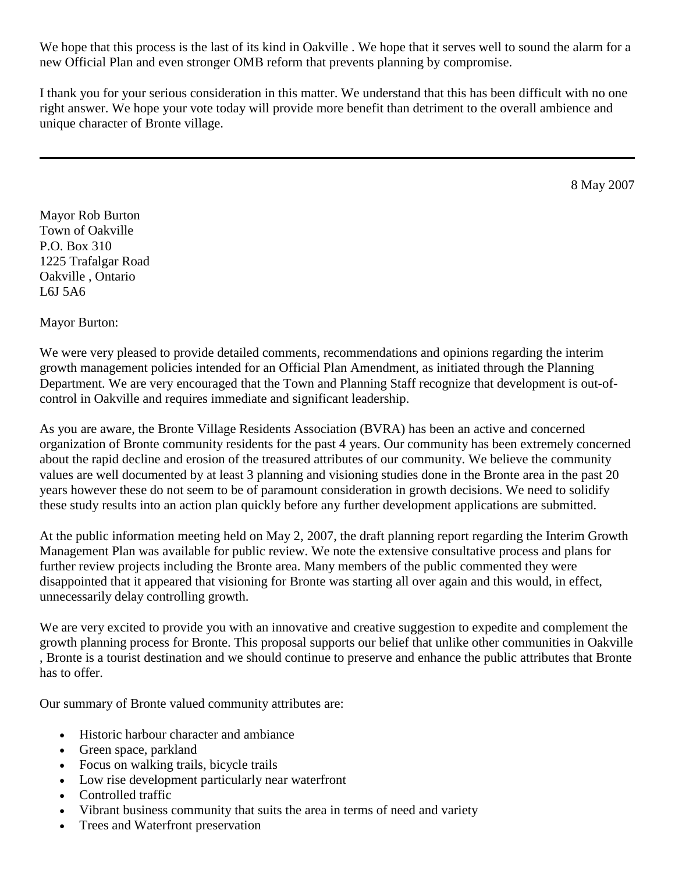We hope that this process is the last of its kind in Oakville . We hope that it serves well to sound the alarm for a new Official Plan and even stronger OMB reform that prevents planning by compromise.

I thank you for your serious consideration in this matter. We understand that this has been difficult with no one right answer. We hope your vote today will provide more benefit than detriment to the overall ambience and unique character of Bronte village.

8 May 2007

Mayor Rob Burton Town of Oakville P.O. Box 310 1225 Trafalgar Road Oakville , Ontario L6J 5A6

Mayor Burton:

We were very pleased to provide detailed comments, recommendations and opinions regarding the interim growth management policies intended for an Official Plan Amendment, as initiated through the Planning Department. We are very encouraged that the Town and Planning Staff recognize that development is out-ofcontrol in Oakville and requires immediate and significant leadership.

As you are aware, the Bronte Village Residents Association (BVRA) has been an active and concerned organization of Bronte community residents for the past 4 years. Our community has been extremely concerned about the rapid decline and erosion of the treasured attributes of our community. We believe the community values are well documented by at least 3 planning and visioning studies done in the Bronte area in the past 20 years however these do not seem to be of paramount consideration in growth decisions. We need to solidify these study results into an action plan quickly before any further development applications are submitted.

At the public information meeting held on May 2, 2007, the draft planning report regarding the Interim Growth Management Plan was available for public review. We note the extensive consultative process and plans for further review projects including the Bronte area. Many members of the public commented they were disappointed that it appeared that visioning for Bronte was starting all over again and this would, in effect, unnecessarily delay controlling growth.

We are very excited to provide you with an innovative and creative suggestion to expedite and complement the growth planning process for Bronte. This proposal supports our belief that unlike other communities in Oakville , Bronte is a tourist destination and we should continue to preserve and enhance the public attributes that Bronte has to offer.

Our summary of Bronte valued community attributes are:

- Historic harbour character and ambiance
- Green space, parkland
- Focus on walking trails, bicycle trails
- Low rise development particularly near waterfront
- Controlled traffic
- Vibrant business community that suits the area in terms of need and variety
- Trees and Waterfront preservation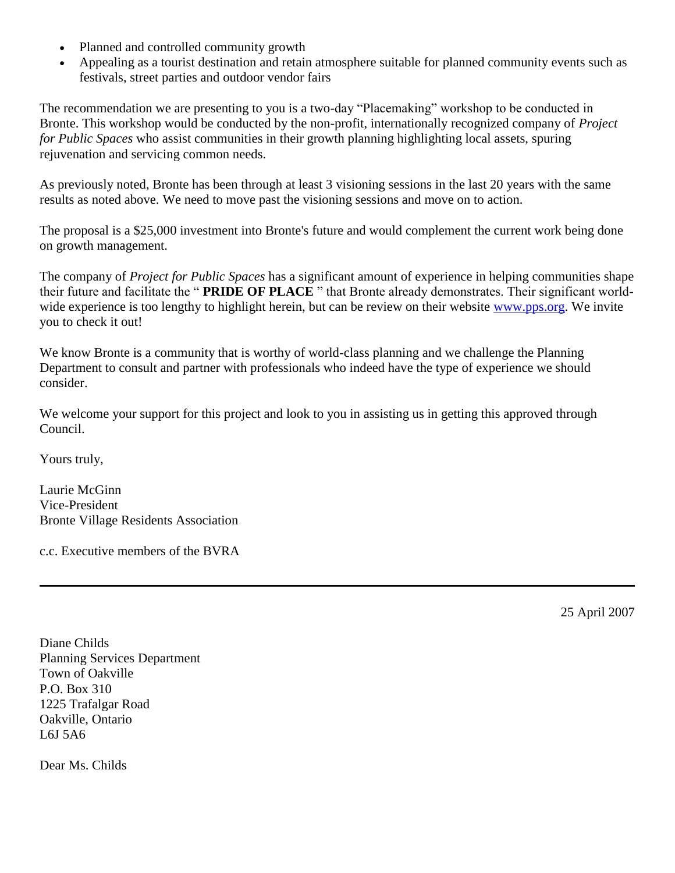- Planned and controlled community growth
- Appealing as a tourist destination and retain atmosphere suitable for planned community events such as festivals, street parties and outdoor vendor fairs

The recommendation we are presenting to you is a two-day "Placemaking" workshop to be conducted in Bronte. This workshop would be conducted by the non-profit, internationally recognized company of *Project for Public Spaces* who assist communities in their growth planning highlighting local assets, spuring rejuvenation and servicing common needs.

As previously noted, Bronte has been through at least 3 visioning sessions in the last 20 years with the same results as noted above. We need to move past the visioning sessions and move on to action.

The proposal is a \$25,000 investment into Bronte's future and would complement the current work being done on growth management.

The company of *Project for Public Spaces* has a significant amount of experience in helping communities shape their future and facilitate the " **PRIDE OF PLACE** " that Bronte already demonstrates. Their significant worldwide experience is too lengthy to highlight herein, but can be review on their website [www.pps.org.](http://www.pps.org/) We invite you to check it out!

We know Bronte is a community that is worthy of world-class planning and we challenge the Planning Department to consult and partner with professionals who indeed have the type of experience we should consider.

We welcome your support for this project and look to you in assisting us in getting this approved through Council.

Yours truly,

Laurie McGinn Vice-President Bronte Village Residents Association

c.c. Executive members of the BVRA

25 April 2007

Diane Childs Planning Services Department Town of Oakville P.O. Box 310 1225 Trafalgar Road Oakville, Ontario L6J 5A6

Dear Ms. Childs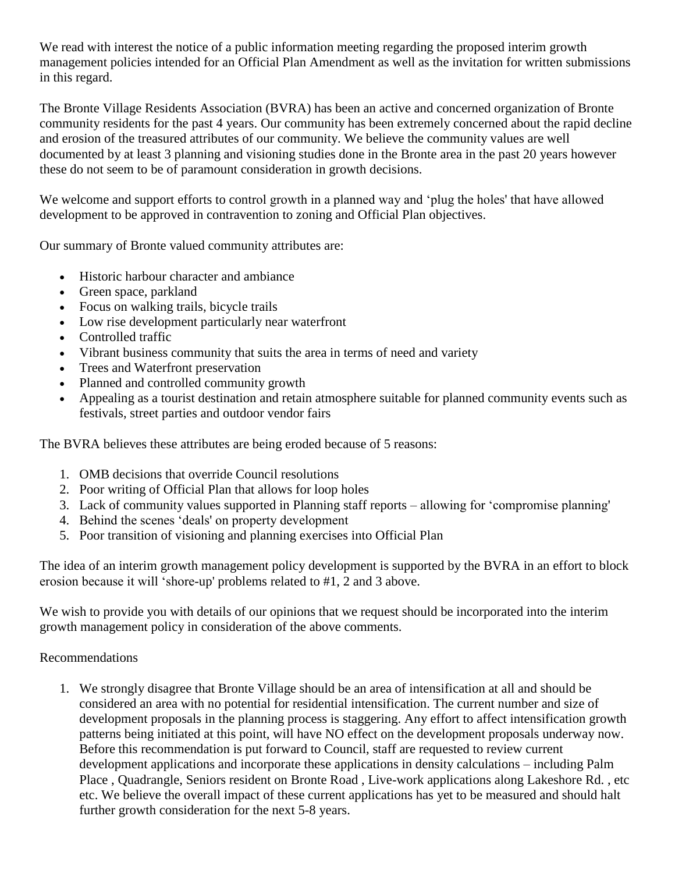We read with interest the notice of a public information meeting regarding the proposed interim growth management policies intended for an Official Plan Amendment as well as the invitation for written submissions in this regard.

The Bronte Village Residents Association (BVRA) has been an active and concerned organization of Bronte community residents for the past 4 years. Our community has been extremely concerned about the rapid decline and erosion of the treasured attributes of our community. We believe the community values are well documented by at least 3 planning and visioning studies done in the Bronte area in the past 20 years however these do not seem to be of paramount consideration in growth decisions.

We welcome and support efforts to control growth in a planned way and 'plug the holes' that have allowed development to be approved in contravention to zoning and Official Plan objectives.

Our summary of Bronte valued community attributes are:

- Historic harbour character and ambiance
- Green space, parkland
- Focus on walking trails, bicycle trails
- Low rise development particularly near waterfront
- Controlled traffic
- Vibrant business community that suits the area in terms of need and variety
- Trees and Waterfront preservation
- Planned and controlled community growth
- Appealing as a tourist destination and retain atmosphere suitable for planned community events such as festivals, street parties and outdoor vendor fairs

The BVRA believes these attributes are being eroded because of 5 reasons:

- 1. OMB decisions that override Council resolutions
- 2. Poor writing of Official Plan that allows for loop holes
- 3. Lack of community values supported in Planning staff reports allowing for 'compromise planning'
- 4. Behind the scenes 'deals' on property development
- 5. Poor transition of visioning and planning exercises into Official Plan

The idea of an interim growth management policy development is supported by the BVRA in an effort to block erosion because it will 'shore-up' problems related to #1, 2 and 3 above.

We wish to provide you with details of our opinions that we request should be incorporated into the interim growth management policy in consideration of the above comments.

## Recommendations

1. We strongly disagree that Bronte Village should be an area of intensification at all and should be considered an area with no potential for residential intensification. The current number and size of development proposals in the planning process is staggering. Any effort to affect intensification growth patterns being initiated at this point, will have NO effect on the development proposals underway now. Before this recommendation is put forward to Council, staff are requested to review current development applications and incorporate these applications in density calculations – including Palm Place , Quadrangle, Seniors resident on Bronte Road , Live-work applications along Lakeshore Rd. , etc etc. We believe the overall impact of these current applications has yet to be measured and should halt further growth consideration for the next 5-8 years.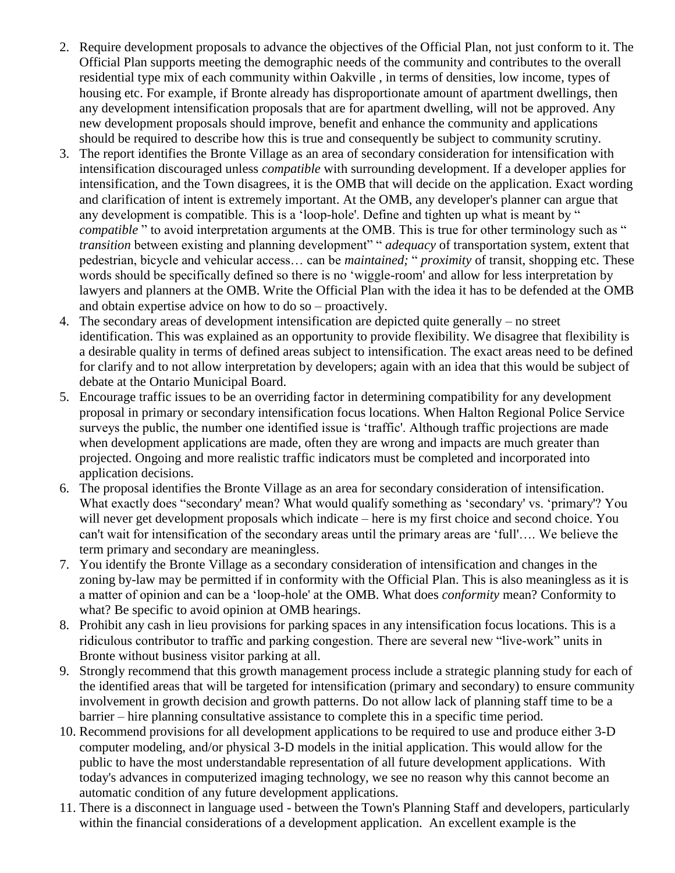- 2. Require development proposals to advance the objectives of the Official Plan, not just conform to it. The Official Plan supports meeting the demographic needs of the community and contributes to the overall residential type mix of each community within Oakville , in terms of densities, low income, types of housing etc. For example, if Bronte already has disproportionate amount of apartment dwellings, then any development intensification proposals that are for apartment dwelling, will not be approved. Any new development proposals should improve, benefit and enhance the community and applications should be required to describe how this is true and consequently be subject to community scrutiny.
- 3. The report identifies the Bronte Village as an area of secondary consideration for intensification with intensification discouraged unless *compatible* with surrounding development. If a developer applies for intensification, and the Town disagrees, it is the OMB that will decide on the application. Exact wording and clarification of intent is extremely important. At the OMB, any developer's planner can argue that any development is compatible. This is a 'loop-hole'. Define and tighten up what is meant by " *compatible* " to avoid interpretation arguments at the OMB. This is true for other terminology such as " *transition* between existing and planning development" " *adequacy* of transportation system, extent that pedestrian, bicycle and vehicular access… can be *maintained;* " *proximity* of transit, shopping etc. These words should be specifically defined so there is no 'wiggle-room' and allow for less interpretation by lawyers and planners at the OMB. Write the Official Plan with the idea it has to be defended at the OMB and obtain expertise advice on how to do so – proactively.
- 4. The secondary areas of development intensification are depicted quite generally no street identification. This was explained as an opportunity to provide flexibility. We disagree that flexibility is a desirable quality in terms of defined areas subject to intensification. The exact areas need to be defined for clarify and to not allow interpretation by developers; again with an idea that this would be subject of debate at the Ontario Municipal Board.
- 5. Encourage traffic issues to be an overriding factor in determining compatibility for any development proposal in primary or secondary intensification focus locations. When Halton Regional Police Service surveys the public, the number one identified issue is 'traffic'. Although traffic projections are made when development applications are made, often they are wrong and impacts are much greater than projected. Ongoing and more realistic traffic indicators must be completed and incorporated into application decisions.
- 6. The proposal identifies the Bronte Village as an area for secondary consideration of intensification. What exactly does "secondary' mean? What would qualify something as 'secondary' vs. 'primary'? You will never get development proposals which indicate – here is my first choice and second choice. You can't wait for intensification of the secondary areas until the primary areas are 'full'…. We believe the term primary and secondary are meaningless.
- 7. You identify the Bronte Village as a secondary consideration of intensification and changes in the zoning by-law may be permitted if in conformity with the Official Plan. This is also meaningless as it is a matter of opinion and can be a 'loop-hole' at the OMB. What does *conformity* mean? Conformity to what? Be specific to avoid opinion at OMB hearings.
- 8. Prohibit any cash in lieu provisions for parking spaces in any intensification focus locations. This is a ridiculous contributor to traffic and parking congestion. There are several new "live-work" units in Bronte without business visitor parking at all.
- 9. Strongly recommend that this growth management process include a strategic planning study for each of the identified areas that will be targeted for intensification (primary and secondary) to ensure community involvement in growth decision and growth patterns. Do not allow lack of planning staff time to be a barrier – hire planning consultative assistance to complete this in a specific time period.
- 10. Recommend provisions for all development applications to be required to use and produce either 3-D computer modeling, and/or physical 3-D models in the initial application. This would allow for the public to have the most understandable representation of all future development applications. With today's advances in computerized imaging technology, we see no reason why this cannot become an automatic condition of any future development applications.
- 11. There is a disconnect in language used between the Town's Planning Staff and developers, particularly within the financial considerations of a development application. An excellent example is the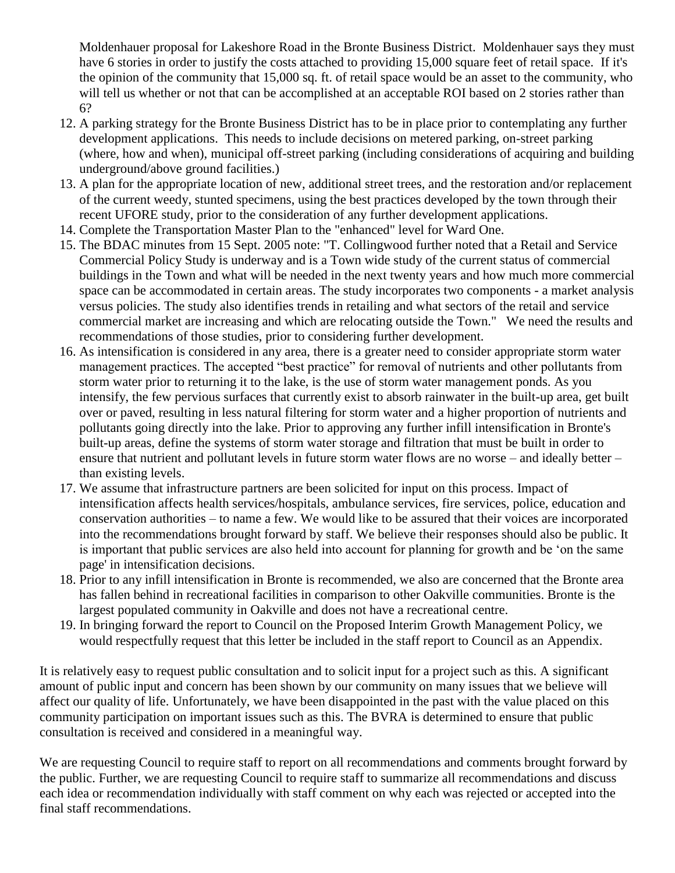Moldenhauer proposal for Lakeshore Road in the Bronte Business District. Moldenhauer says they must have 6 stories in order to justify the costs attached to providing 15,000 square feet of retail space. If it's the opinion of the community that 15,000 sq. ft. of retail space would be an asset to the community, who will tell us whether or not that can be accomplished at an acceptable ROI based on 2 stories rather than 6?

- 12. A parking strategy for the Bronte Business District has to be in place prior to contemplating any further development applications. This needs to include decisions on metered parking, on-street parking (where, how and when), municipal off-street parking (including considerations of acquiring and building underground/above ground facilities.)
- 13. A plan for the appropriate location of new, additional street trees, and the restoration and/or replacement of the current weedy, stunted specimens, using the best practices developed by the town through their recent UFORE study, prior to the consideration of any further development applications.
- 14. Complete the Transportation Master Plan to the "enhanced" level for Ward One.
- 15. The BDAC minutes from 15 Sept. 2005 note: "T. Collingwood further noted that a Retail and Service Commercial Policy Study is underway and is a Town wide study of the current status of commercial buildings in the Town and what will be needed in the next twenty years and how much more commercial space can be accommodated in certain areas. The study incorporates two components - a market analysis versus policies. The study also identifies trends in retailing and what sectors of the retail and service commercial market are increasing and which are relocating outside the Town." We need the results and recommendations of those studies, prior to considering further development.
- 16. As intensification is considered in any area, there is a greater need to consider appropriate storm water management practices. The accepted "best practice" for removal of nutrients and other pollutants from storm water prior to returning it to the lake, is the use of storm water management ponds. As you intensify, the few pervious surfaces that currently exist to absorb rainwater in the built-up area, get built over or paved, resulting in less natural filtering for storm water and a higher proportion of nutrients and pollutants going directly into the lake. Prior to approving any further infill intensification in Bronte's built-up areas, define the systems of storm water storage and filtration that must be built in order to ensure that nutrient and pollutant levels in future storm water flows are no worse – and ideally better – than existing levels.
- 17. We assume that infrastructure partners are been solicited for input on this process. Impact of intensification affects health services/hospitals, ambulance services, fire services, police, education and conservation authorities – to name a few. We would like to be assured that their voices are incorporated into the recommendations brought forward by staff. We believe their responses should also be public. It is important that public services are also held into account for planning for growth and be 'on the same page' in intensification decisions.
- 18. Prior to any infill intensification in Bronte is recommended, we also are concerned that the Bronte area has fallen behind in recreational facilities in comparison to other Oakville communities. Bronte is the largest populated community in Oakville and does not have a recreational centre.
- 19. In bringing forward the report to Council on the Proposed Interim Growth Management Policy, we would respectfully request that this letter be included in the staff report to Council as an Appendix.

It is relatively easy to request public consultation and to solicit input for a project such as this. A significant amount of public input and concern has been shown by our community on many issues that we believe will affect our quality of life. Unfortunately, we have been disappointed in the past with the value placed on this community participation on important issues such as this. The BVRA is determined to ensure that public consultation is received and considered in a meaningful way.

We are requesting Council to require staff to report on all recommendations and comments brought forward by the public. Further, we are requesting Council to require staff to summarize all recommendations and discuss each idea or recommendation individually with staff comment on why each was rejected or accepted into the final staff recommendations.